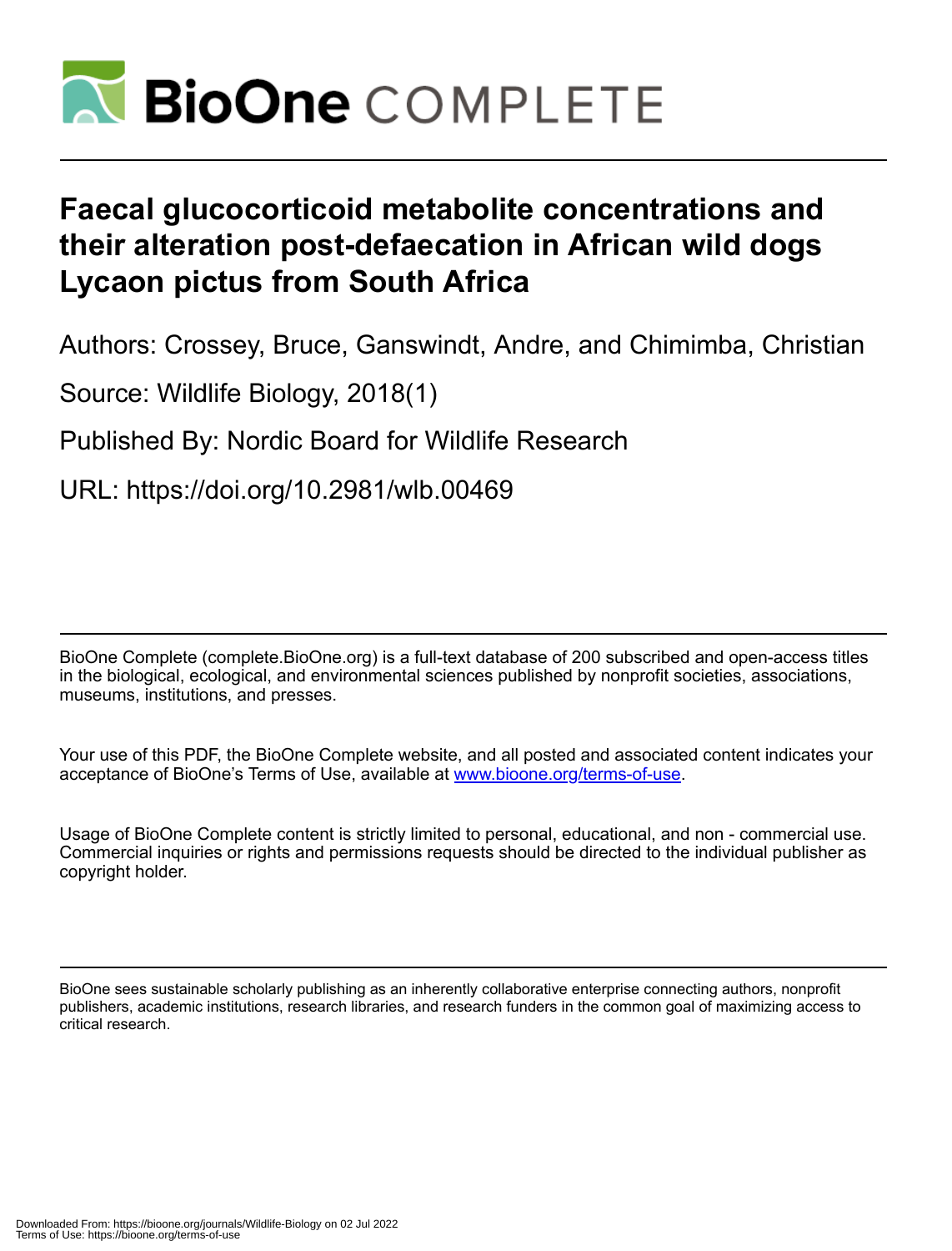

# **Faecal glucocorticoid metabolite concentrations and their alteration post-defaecation in African wild dogs Lycaon pictus from South Africa**

Authors: Crossey, Bruce, Ganswindt, Andre, and Chimimba, Christian

Source: Wildlife Biology, 2018(1)

Published By: Nordic Board for Wildlife Research

URL: https://doi.org/10.2981/wlb.00469

BioOne Complete (complete.BioOne.org) is a full-text database of 200 subscribed and open-access titles in the biological, ecological, and environmental sciences published by nonprofit societies, associations, museums, institutions, and presses.

Your use of this PDF, the BioOne Complete website, and all posted and associated content indicates your acceptance of BioOne's Terms of Use, available at www.bioone.org/terms-of-use.

Usage of BioOne Complete content is strictly limited to personal, educational, and non - commercial use. Commercial inquiries or rights and permissions requests should be directed to the individual publisher as copyright holder.

BioOne sees sustainable scholarly publishing as an inherently collaborative enterprise connecting authors, nonprofit publishers, academic institutions, research libraries, and research funders in the common goal of maximizing access to critical research.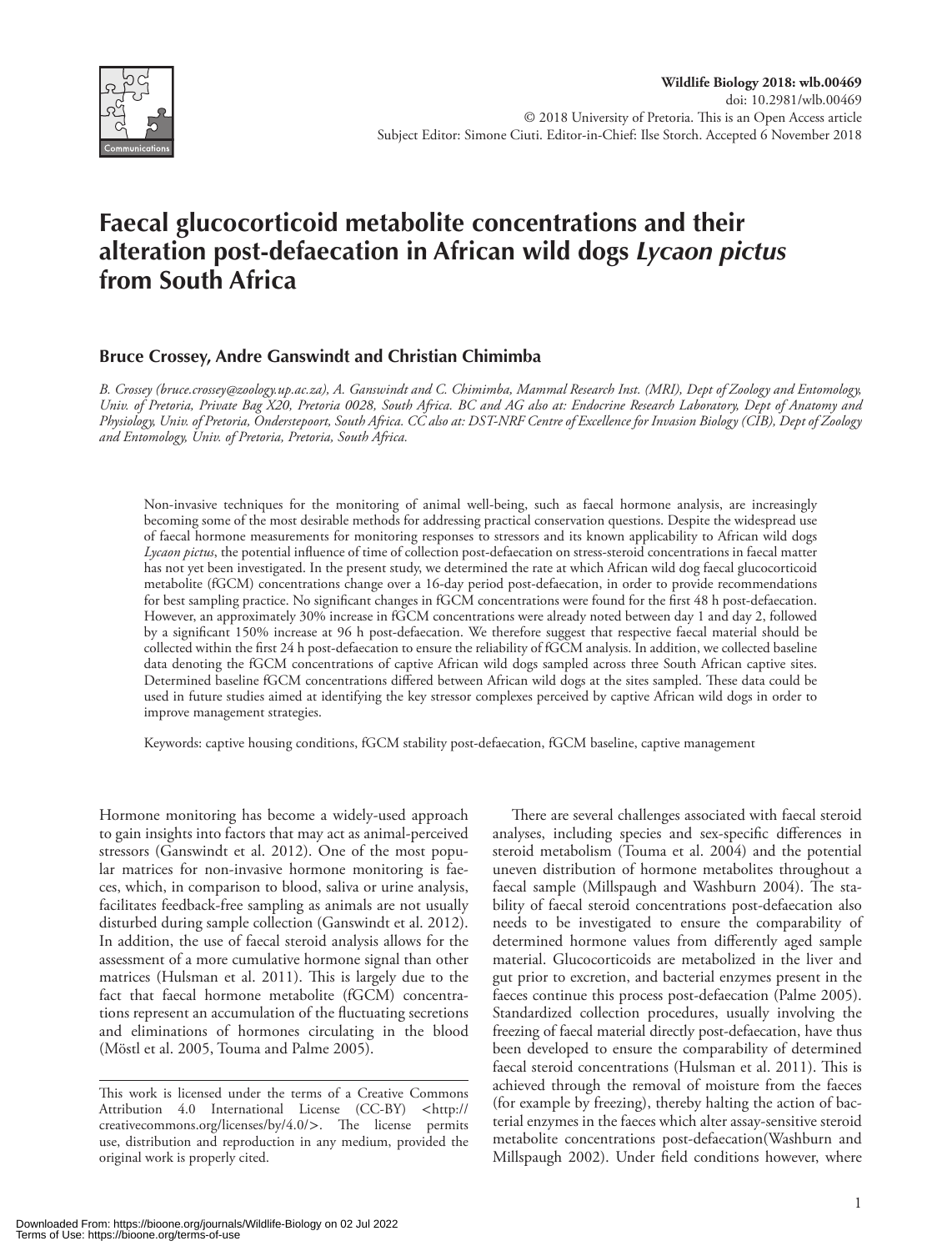

# **Faecal glucocorticoid metabolite concentrations and their alteration post-defaecation in African wild dogs** *Lycaon pictus* **from South Africa**

# **Bruce Crossey, Andre Ganswindt and Christian Chimimba**

*B. Crossey (bruce.crossey@zoology.up.ac.za), A. Ganswindt and C. Chimimba, Mammal Research Inst. (MRI), Dept of Zoology and Entomology, Univ. of Pretoria, Private Bag X20, Pretoria 0028, South Africa. BC and AG also at: Endocrine Research Laboratory, Dept of Anatomy and Physiology, Univ. of Pretoria, Onderstepoort, South Africa. CC also at: DST-NRF Centre of Excellence for Invasion Biology (CIB), Dept of Zoology and Entomology, Univ. of Pretoria, Pretoria, South Africa.*

Non-invasive techniques for the monitoring of animal well-being, such as faecal hormone analysis, are increasingly becoming some of the most desirable methods for addressing practical conservation questions. Despite the widespread use of faecal hormone measurements for monitoring responses to stressors and its known applicability to African wild dogs *Lycaon pictus*, the potential influence of time of collection post-defaecation on stress-steroid concentrations in faecal matter has not yet been investigated. In the present study, we determined the rate at which African wild dog faecal glucocorticoid metabolite (fGCM) concentrations change over a 16-day period post-defaecation, in order to provide recommendations for best sampling practice. No significant changes in fGCM concentrations were found for the first 48 h post-defaecation. However, an approximately 30% increase in fGCM concentrations were already noted between day 1 and day 2, followed by a significant 150% increase at 96 h post-defaecation. We therefore suggest that respective faecal material should be collected within the first 24 h post-defaecation to ensure the reliability of fGCM analysis. In addition, we collected baseline data denoting the fGCM concentrations of captive African wild dogs sampled across three South African captive sites. Determined baseline fGCM concentrations differed between African wild dogs at the sites sampled. These data could be used in future studies aimed at identifying the key stressor complexes perceived by captive African wild dogs in order to improve management strategies.

Keywords: captive housing conditions, fGCM stability post-defaecation, fGCM baseline, captive management

Hormone monitoring has become a widely-used approach to gain insights into factors that may act as animal-perceived stressors (Ganswindt et al. 2012). One of the most popular matrices for non-invasive hormone monitoring is faeces, which, in comparison to blood, saliva or urine analysis, facilitates feedback-free sampling as animals are not usually disturbed during sample collection (Ganswindt et al. 2012). In addition, the use of faecal steroid analysis allows for the assessment of a more cumulative hormone signal than other matrices (Hulsman et al. 2011). This is largely due to the fact that faecal hormone metabolite (fGCM) concentrations represent an accumulation of the fluctuating secretions and eliminations of hormones circulating in the blood (Möstl et al. 2005, Touma and Palme 2005).

There are several challenges associated with faecal steroid analyses, including species and sex-specific differences in steroid metabolism (Touma et al. 2004) and the potential uneven distribution of hormone metabolites throughout a faecal sample (Millspaugh and Washburn 2004). The stability of faecal steroid concentrations post-defaecation also needs to be investigated to ensure the comparability of determined hormone values from differently aged sample material. Glucocorticoids are metabolized in the liver and gut prior to excretion, and bacterial enzymes present in the faeces continue this process post-defaecation (Palme 2005). Standardized collection procedures, usually involving the freezing of faecal material directly post-defaecation, have thus been developed to ensure the comparability of determined faecal steroid concentrations (Hulsman et al. 2011). This is achieved through the removal of moisture from the faeces (for example by freezing), thereby halting the action of bacterial enzymes in the faeces which alter assay-sensitive steroid metabolite concentrations post-defaecation(Washburn and Millspaugh 2002). Under field conditions however, where

This work is licensed under the terms of a Creative Commons Attribution 4.0 International License (CC-BY) <http:// creativecommons.org/licenses/by/4.0/>. The license permits use, distribution and reproduction in any medium, provided the original work is properly cited.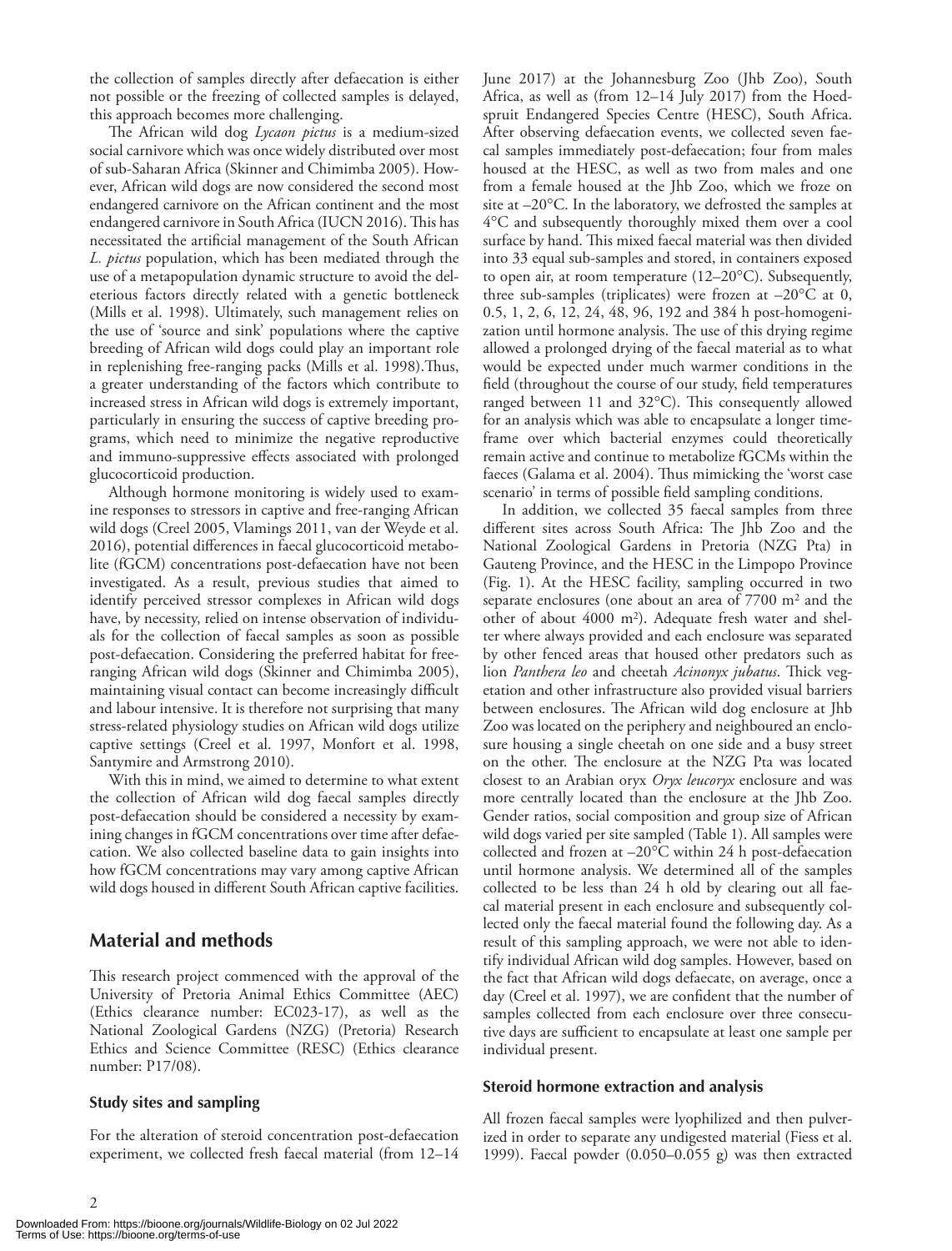the collection of samples directly after defaecation is either not possible or the freezing of collected samples is delayed, this approach becomes more challenging.

The African wild dog *Lycaon pictus* is a medium-sized social carnivore which was once widely distributed over most of sub-Saharan Africa (Skinner and Chimimba 2005). However, African wild dogs are now considered the second most endangered carnivore on the African continent and the most endangered carnivore in South Africa (IUCN 2016). This has necessitated the artificial management of the South African *L. pictus* population, which has been mediated through the use of a metapopulation dynamic structure to avoid the deleterious factors directly related with a genetic bottleneck (Mills et al. 1998). Ultimately, such management relies on the use of 'source and sink' populations where the captive breeding of African wild dogs could play an important role in replenishing free-ranging packs (Mills et al. 1998).Thus, a greater understanding of the factors which contribute to increased stress in African wild dogs is extremely important, particularly in ensuring the success of captive breeding programs, which need to minimize the negative reproductive and immuno-suppressive effects associated with prolonged glucocorticoid production.

Although hormone monitoring is widely used to examine responses to stressors in captive and free-ranging African wild dogs (Creel 2005, Vlamings 2011, van der Weyde et al. 2016), potential differences in faecal glucocorticoid metabolite (fGCM) concentrations post-defaecation have not been investigated. As a result, previous studies that aimed to identify perceived stressor complexes in African wild dogs have, by necessity, relied on intense observation of individuals for the collection of faecal samples as soon as possible post-defaecation. Considering the preferred habitat for freeranging African wild dogs (Skinner and Chimimba 2005), maintaining visual contact can become increasingly difficult and labour intensive. It is therefore not surprising that many stress-related physiology studies on African wild dogs utilize captive settings (Creel et al. 1997, Monfort et al. 1998, Santymire and Armstrong 2010).

With this in mind, we aimed to determine to what extent the collection of African wild dog faecal samples directly post-defaecation should be considered a necessity by examining changes in fGCM concentrations over time after defaecation. We also collected baseline data to gain insights into how fGCM concentrations may vary among captive African wild dogs housed in different South African captive facilities.

# **Material and methods**

This research project commenced with the approval of the University of Pretoria Animal Ethics Committee (AEC) (Ethics clearance number: EC023-17), as well as the National Zoological Gardens (NZG) (Pretoria) Research Ethics and Science Committee (RESC) (Ethics clearance number: P17/08).

#### **Study sites and sampling**

 $\mathcal{D}$ 

For the alteration of steroid concentration post-defaecation experiment, we collected fresh faecal material (from 12–14

June 2017) at the Johannesburg Zoo (Jhb Zoo), South Africa, as well as (from 12–14 July 2017) from the Hoedspruit Endangered Species Centre (HESC), South Africa. After observing defaecation events, we collected seven faecal samples immediately post-defaecation; four from males housed at the HESC, as well as two from males and one from a female housed at the Jhb Zoo, which we froze on site at –20°C. In the laboratory, we defrosted the samples at 4°C and subsequently thoroughly mixed them over a cool surface by hand. This mixed faecal material was then divided into 33 equal sub-samples and stored, in containers exposed to open air, at room temperature (12–20°C). Subsequently, three sub-samples (triplicates) were frozen at  $-20^{\circ}$ C at 0, 0.5, 1, 2, 6, 12, 24, 48, 96, 192 and 384 h post-homogenization until hormone analysis. The use of this drying regime allowed a prolonged drying of the faecal material as to what would be expected under much warmer conditions in the field (throughout the course of our study, field temperatures ranged between 11 and 32°C). This consequently allowed for an analysis which was able to encapsulate a longer timeframe over which bacterial enzymes could theoretically remain active and continue to metabolize fGCMs within the faeces (Galama et al. 2004). Thus mimicking the 'worst case scenario' in terms of possible field sampling conditions.

In addition, we collected 35 faecal samples from three different sites across South Africa: The Jhb Zoo and the National Zoological Gardens in Pretoria (NZG Pta) in Gauteng Province, and the HESC in the Limpopo Province (Fig. 1). At the HESC facility, sampling occurred in two separate enclosures (one about an area of 7700 m<sup>2</sup> and the other of about 4000 m2). Adequate fresh water and shelter where always provided and each enclosure was separated by other fenced areas that housed other predators such as lion *Panthera leo* and cheetah *Acinonyx jubatus*. Thick vegetation and other infrastructure also provided visual barriers between enclosures. The African wild dog enclosure at Jhb Zoo was located on the periphery and neighboured an enclosure housing a single cheetah on one side and a busy street on the other. The enclosure at the NZG Pta was located closest to an Arabian oryx *Oryx leucoryx* enclosure and was more centrally located than the enclosure at the Jhb Zoo. Gender ratios, social composition and group size of African wild dogs varied per site sampled (Table 1). All samples were collected and frozen at –20°C within 24 h post-defaecation until hormone analysis. We determined all of the samples collected to be less than 24 h old by clearing out all faecal material present in each enclosure and subsequently collected only the faecal material found the following day. As a result of this sampling approach, we were not able to identify individual African wild dog samples. However, based on the fact that African wild dogs defaecate, on average, once a day (Creel et al. 1997), we are confident that the number of samples collected from each enclosure over three consecutive days are sufficient to encapsulate at least one sample per individual present.

#### **Steroid hormone extraction and analysis**

All frozen faecal samples were lyophilized and then pulverized in order to separate any undigested material (Fiess et al. 1999). Faecal powder (0.050–0.055 g) was then extracted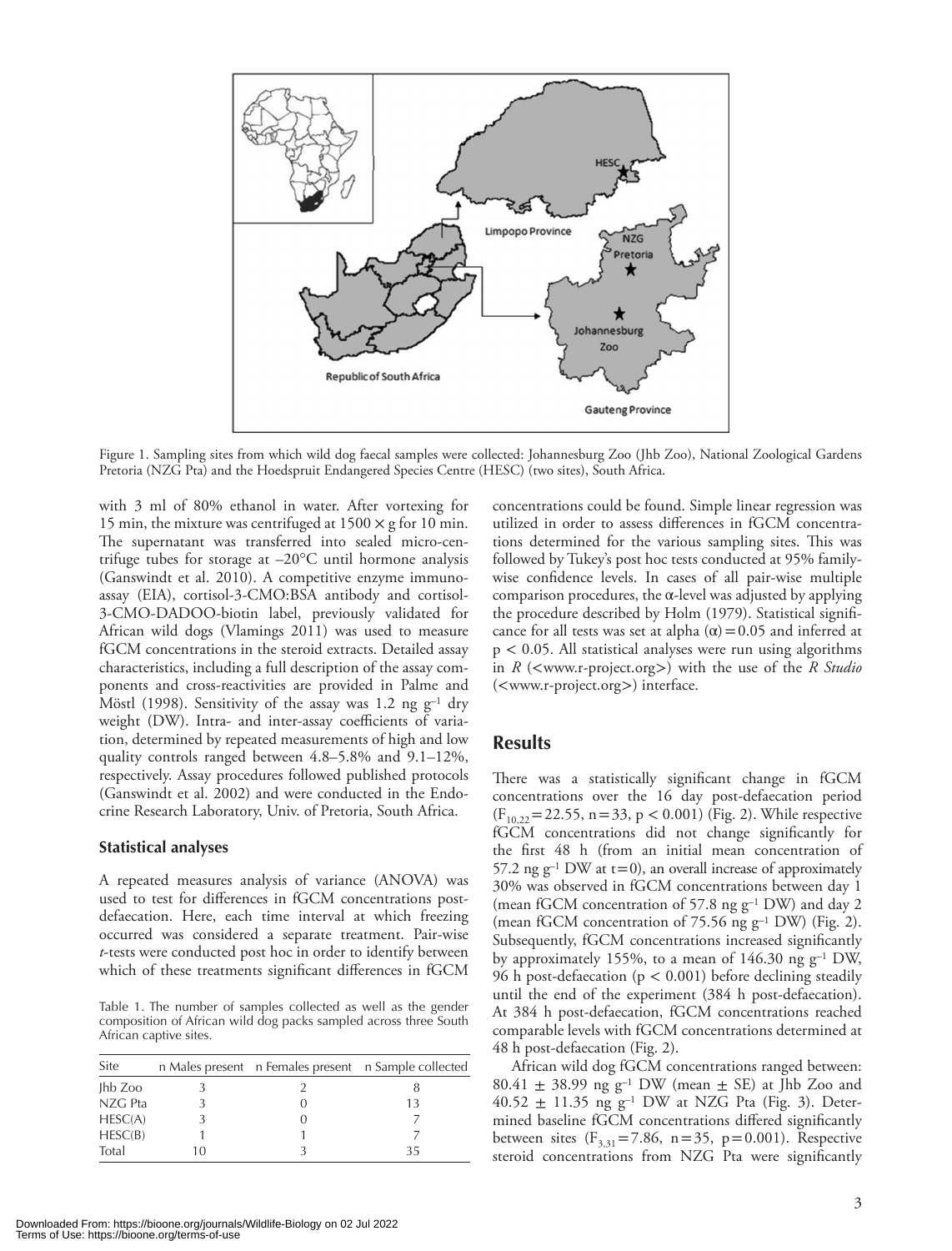

Figure 1. Sampling sites from which wild dog faecal samples were collected: Johannesburg Zoo (Jhb Zoo), National Zoological Gardens Pretoria (NZG Pta) and the Hoedspruit Endangered Species Centre (HESC) (two sites), South Africa.

with 3 ml of 80% ethanol in water. After vortexing for 15 min, the mixture was centrifuged at  $1500 \times g$  for 10 min. The supernatant was transferred into sealed micro-centrifuge tubes for storage at –20°C until hormone analysis (Ganswindt et al. 2010). A competitive enzyme immunoassay (EIA), cortisol-3-CMO:BSA antibody and cortisol-3-CMO-DADOO-biotin label, previously validated for African wild dogs (Vlamings 2011) was used to measure fGCM concentrations in the steroid extracts. Detailed assay characteristics, including a full description of the assay components and cross-reactivities are provided in Palme and Möstl (1998). Sensitivity of the assay was 1.2 ng  $g^{-1}$  dry weight (DW). Intra- and inter-assay coefficients of variation, determined by repeated measurements of high and low quality controls ranged between 4.8–5.8% and 9.1–12%, respectively. Assay procedures followed published protocols (Ganswindt et al. 2002) and were conducted in the Endocrine Research Laboratory, Univ. of Pretoria, South Africa.

#### **Statistical analyses**

A repeated measures analysis of variance (ANOVA) was used to test for differences in fGCM concentrations postdefaecation. Here, each time interval at which freezing occurred was considered a separate treatment. Pair-wise *t*-tests were conducted post hoc in order to identify between which of these treatments significant differences in fGCM

Table 1. The number of samples collected as well as the gender composition of African wild dog packs sampled across three South African captive sites.

| Site       |    | n Males present n Females present n Sample collected |
|------------|----|------------------------------------------------------|
| $I$ hb Zoo |    |                                                      |
| NZG Pta    |    |                                                      |
| HESC(A)    |    |                                                      |
| HESC(B)    |    |                                                      |
| Total      | 10 |                                                      |

concentrations could be found. Simple linear regression was utilized in order to assess differences in fGCM concentrations determined for the various sampling sites. This was followed by Tukey's post hoc tests conducted at 95% familywise confidence levels. In cases of all pair-wise multiple comparison procedures, the α-level was adjusted by applying the procedure described by Holm (1979). Statistical significance for all tests was set at alpha  $(\alpha)$  = 0.05 and inferred at  $p < 0.05$ . All statistical analyses were run using algorithms in *R* (<www.r-project.org>) with the use of the *R Studio* (<www.r-project.org>) interface.

# **Results**

There was a statistically significant change in fGCM concentrations over the 16 day post-defaecation period  $(F_{10,22}=22.55, n=33, p < 0.001)$  (Fig. 2). While respective fGCM concentrations did not change significantly for the first 48 h (from an initial mean concentration of 57.2 ng  $g^{-1}$  DW at  $t=0$ ), an overall increase of approximately 30% was observed in fGCM concentrations between day 1 (mean fGCM concentration of 57.8 ng g–1 DW) and day 2 (mean fGCM concentration of 75.56 ng  $g^{-1}$  DW) (Fig. 2). Subsequently, fGCM concentrations increased significantly by approximately 155%, to a mean of 146.30 ng  $g^{-1}$  DW, 96 h post-defaecation (p < 0.001) before declining steadily until the end of the experiment (384 h post-defaecation). At 384 h post-defaecation, fGCM concentrations reached comparable levels with fGCM concentrations determined at 48 h post-defaecation (Fig. 2).

African wild dog fGCM concentrations ranged between: 80.41  $\pm$  38.99 ng g<sup>-1</sup> DW (mean  $\pm$  SE) at Jhb Zoo and 40.52  $\pm$  11.35 ng g<sup>-1</sup> DW at NZG Pta (Fig. 3). Determined baseline fGCM concentrations differed significantly between sites  $(F_{3,31} = 7.86, n = 35, p = 0.001)$ . Respective steroid concentrations from NZG Pta were significantly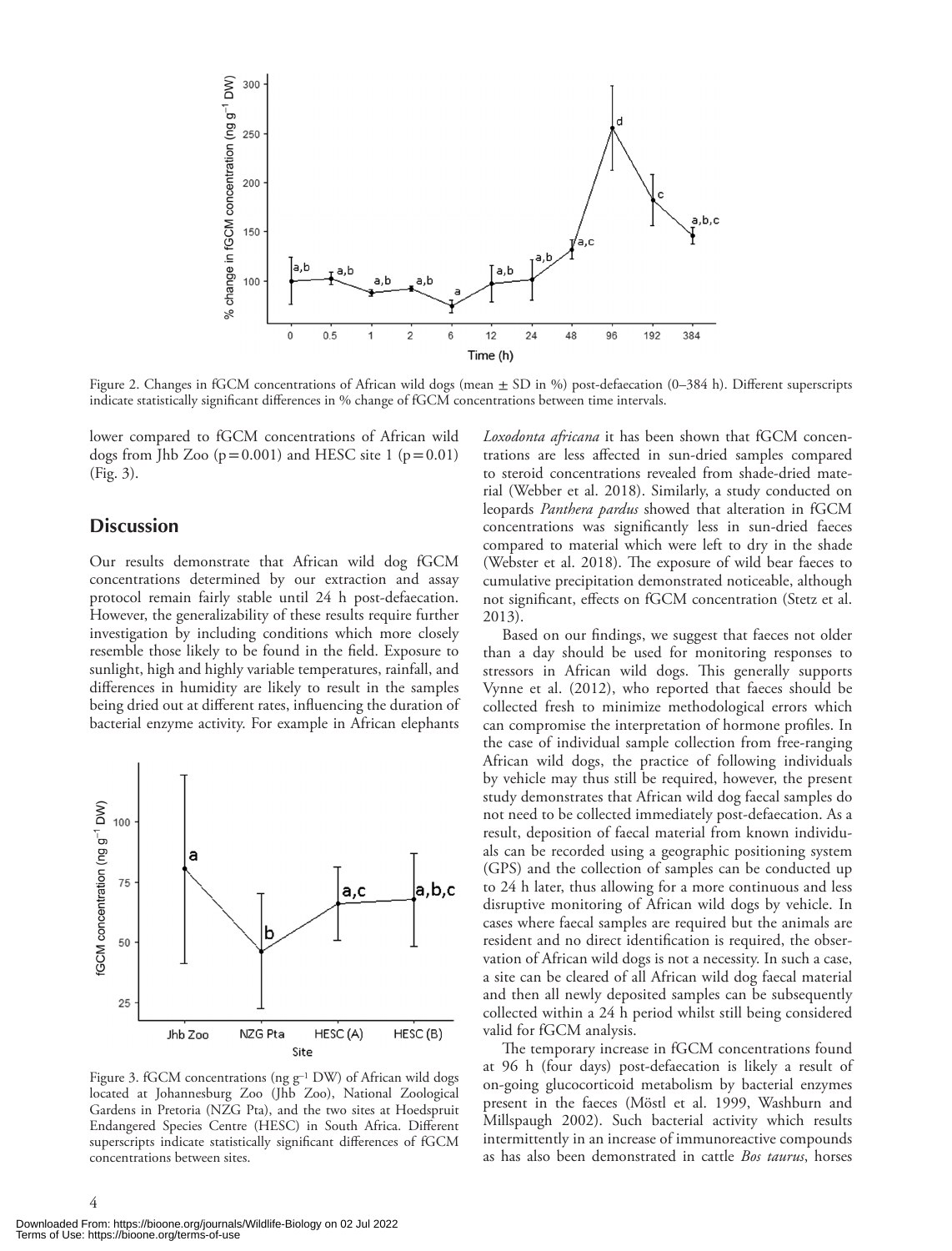

Figure 2. Changes in fGCM concentrations of African wild dogs (mean  $\pm$  SD in %) post-defaecation (0–384 h). Different superscripts indicate statistically significant differences in % change of fGCM concentrations between time intervals.

lower compared to fGCM concentrations of African wild dogs from Jhb Zoo  $(p=0.001)$  and HESC site 1  $(p=0.01)$ (Fig. 3).

### **Discussion**

Our results demonstrate that African wild dog fGCM concentrations determined by our extraction and assay protocol remain fairly stable until 24 h post-defaecation. However, the generalizability of these results require further investigation by including conditions which more closely resemble those likely to be found in the field. Exposure to sunlight, high and highly variable temperatures, rainfall, and differences in humidity are likely to result in the samples being dried out at different rates, influencing the duration of bacterial enzyme activity. For example in African elephants



Figure 3. fGCM concentrations (ng g<sup>-1</sup> DW) of African wild dogs located at Johannesburg Zoo (Jhb Zoo), National Zoological Gardens in Pretoria (NZG Pta), and the two sites at Hoedspruit Endangered Species Centre (HESC) in South Africa. Different superscripts indicate statistically significant differences of fGCM concentrations between sites.

*Loxodonta africana* it has been shown that fGCM concentrations are less affected in sun-dried samples compared to steroid concentrations revealed from shade-dried material (Webber et al. 2018). Similarly, a study conducted on leopards *Panthera pardus* showed that alteration in fGCM concentrations was significantly less in sun-dried faeces compared to material which were left to dry in the shade (Webster et al. 2018). The exposure of wild bear faeces to cumulative precipitation demonstrated noticeable, although not significant, effects on fGCM concentration (Stetz et al. 2013).

Based on our findings, we suggest that faeces not older than a day should be used for monitoring responses to stressors in African wild dogs. This generally supports Vynne et al. (2012), who reported that faeces should be collected fresh to minimize methodological errors which can compromise the interpretation of hormone profiles. In the case of individual sample collection from free-ranging African wild dogs, the practice of following individuals by vehicle may thus still be required, however, the present study demonstrates that African wild dog faecal samples do not need to be collected immediately post-defaecation. As a result, deposition of faecal material from known individuals can be recorded using a geographic positioning system (GPS) and the collection of samples can be conducted up to 24 h later, thus allowing for a more continuous and less disruptive monitoring of African wild dogs by vehicle. In cases where faecal samples are required but the animals are resident and no direct identification is required, the observation of African wild dogs is not a necessity. In such a case, a site can be cleared of all African wild dog faecal material and then all newly deposited samples can be subsequently collected within a 24 h period whilst still being considered valid for fGCM analysis.

The temporary increase in fGCM concentrations found at 96 h (four days) post-defaecation is likely a result of on-going glucocorticoid metabolism by bacterial enzymes present in the faeces (Möstl et al. 1999, Washburn and Millspaugh 2002). Such bacterial activity which results intermittently in an increase of immunoreactive compounds as has also been demonstrated in cattle *Bos taurus*, horses

4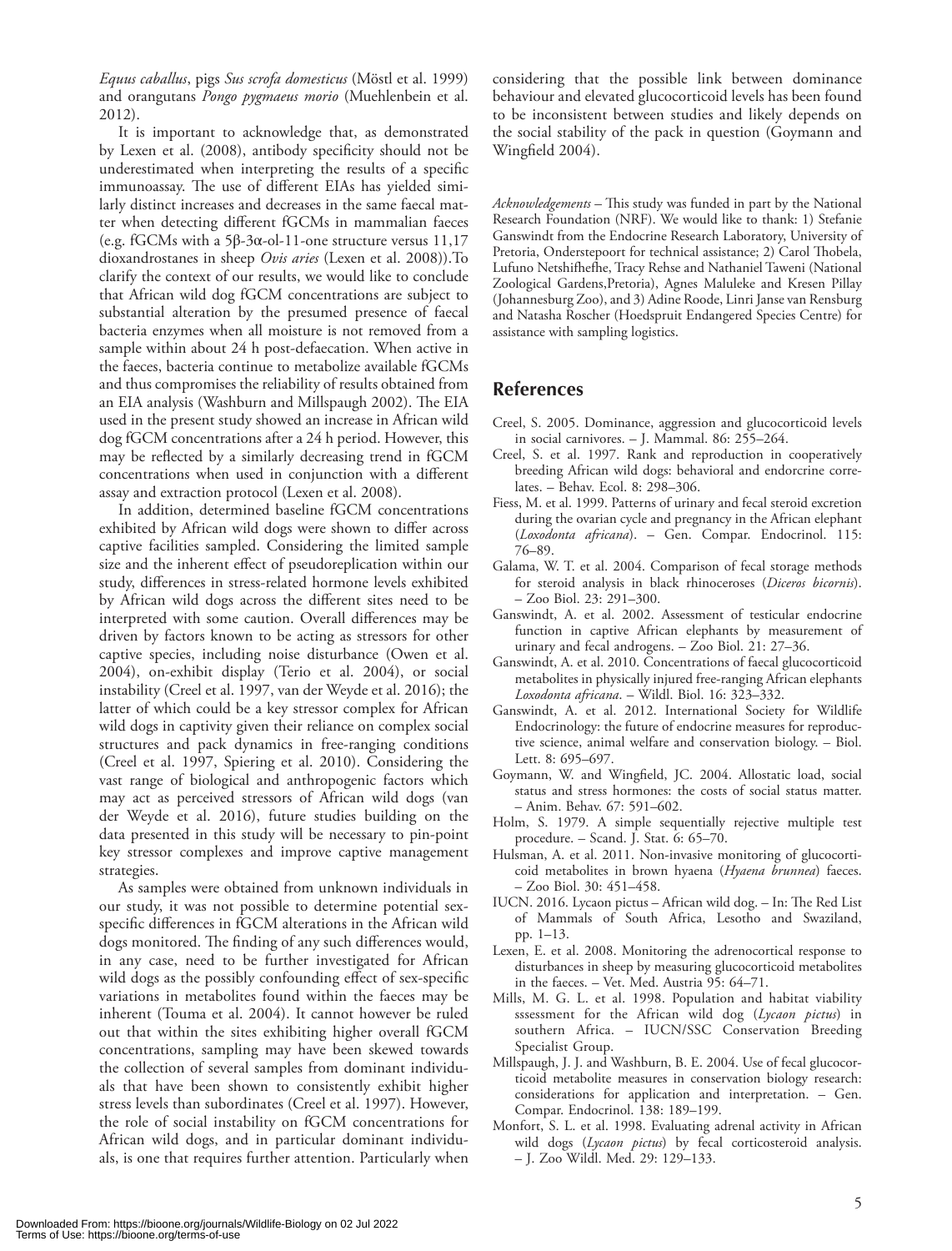*Equus caballus*, pigs *Sus scrofa domesticus* (Möstl et al. 1999) and orangutans *Pongo pygmaeus morio* (Muehlenbein et al. 2012).

It is important to acknowledge that, as demonstrated by Lexen et al. (2008), antibody specificity should not be underestimated when interpreting the results of a specific immunoassay. The use of different EIAs has yielded similarly distinct increases and decreases in the same faecal matter when detecting different fGCMs in mammalian faeces (e.g. fGCMs with a 5β-3α-ol-11-one structure versus 11,17 dioxandrostanes in sheep *Ovis aries* (Lexen et al. 2008)).To clarify the context of our results, we would like to conclude that African wild dog fGCM concentrations are subject to substantial alteration by the presumed presence of faecal bacteria enzymes when all moisture is not removed from a sample within about 24 h post-defaecation. When active in the faeces, bacteria continue to metabolize available fGCMs and thus compromises the reliability of results obtained from an EIA analysis (Washburn and Millspaugh 2002). The EIA used in the present study showed an increase in African wild dog fGCM concentrations after a 24 h period. However, this may be reflected by a similarly decreasing trend in fGCM concentrations when used in conjunction with a different assay and extraction protocol (Lexen et al. 2008).

In addition, determined baseline fGCM concentrations exhibited by African wild dogs were shown to differ across captive facilities sampled. Considering the limited sample size and the inherent effect of pseudoreplication within our study, differences in stress-related hormone levels exhibited by African wild dogs across the different sites need to be interpreted with some caution. Overall differences may be driven by factors known to be acting as stressors for other captive species, including noise disturbance (Owen et al. 2004), on-exhibit display (Terio et al. 2004), or social instability (Creel et al. 1997, van der Weyde et al. 2016); the latter of which could be a key stressor complex for African wild dogs in captivity given their reliance on complex social structures and pack dynamics in free-ranging conditions (Creel et al. 1997, Spiering et al. 2010). Considering the vast range of biological and anthropogenic factors which may act as perceived stressors of African wild dogs (van der Weyde et al. 2016), future studies building on the data presented in this study will be necessary to pin-point key stressor complexes and improve captive management strategies.

As samples were obtained from unknown individuals in our study, it was not possible to determine potential sexspecific differences in fGCM alterations in the African wild dogs monitored. The finding of any such differences would, in any case, need to be further investigated for African wild dogs as the possibly confounding effect of sex-specific variations in metabolites found within the faeces may be inherent (Touma et al. 2004). It cannot however be ruled out that within the sites exhibiting higher overall fGCM concentrations, sampling may have been skewed towards the collection of several samples from dominant individuals that have been shown to consistently exhibit higher stress levels than subordinates (Creel et al. 1997). However, the role of social instability on fGCM concentrations for African wild dogs, and in particular dominant individuals, is one that requires further attention. Particularly when considering that the possible link between dominance behaviour and elevated glucocorticoid levels has been found to be inconsistent between studies and likely depends on the social stability of the pack in question (Goymann and Wingfield 2004).

*Acknowledgements –* This study was funded in part by the National Research Foundation (NRF). We would like to thank: 1) Stefanie Ganswindt from the Endocrine Research Laboratory, University of Pretoria, Onderstepoort for technical assistance; 2) Carol Thobela, Lufuno Netshifhefhe, Tracy Rehse and Nathaniel Taweni (National Zoological Gardens,Pretoria), Agnes Maluleke and Kresen Pillay (Johannesburg Zoo), and 3) Adine Roode, Linri Janse van Rensburg and Natasha Roscher (Hoedspruit Endangered Species Centre) for assistance with sampling logistics.

# **References**

- Creel, S. 2005. Dominance, aggression and glucocorticoid levels in social carnivores. – J. Mammal. 86: 255–264.
- Creel, S. et al. 1997. Rank and reproduction in cooperatively breeding African wild dogs: behavioral and endorcrine correlates. – Behav. Ecol. 8: 298–306.
- Fiess, M. et al. 1999. Patterns of urinary and fecal steroid excretion during the ovarian cycle and pregnancy in the African elephant (*Loxodonta africana*). – Gen. Compar. Endocrinol. 115: 76–89.
- Galama, W. T. et al. 2004. Comparison of fecal storage methods for steroid analysis in black rhinoceroses (*Diceros bicornis*). – Zoo Biol. 23: 291–300.
- Ganswindt, A. et al. 2002. Assessment of testicular endocrine function in captive African elephants by measurement of urinary and fecal androgens. – Zoo Biol. 21: 27–36.
- Ganswindt, A. et al. 2010. Concentrations of faecal glucocorticoid metabolites in physically injured free-ranging African elephants *Loxodonta africana*. – Wildl. Biol. 16: 323–332.
- Ganswindt, A. et al. 2012. International Society for Wildlife Endocrinology: the future of endocrine measures for reproductive science, animal welfare and conservation biology. – Biol. Lett. 8: 695–697.
- Goymann, W. and Wingfield, JC. 2004. Allostatic load, social status and stress hormones: the costs of social status matter. – Anim. Behav. 67: 591–602.
- Holm, S. 1979. A simple sequentially rejective multiple test procedure. – Scand. J. Stat. 6: 65–70.
- Hulsman, A. et al. 2011. Non-invasive monitoring of glucocorticoid metabolites in brown hyaena (*Hyaena brunnea*) faeces. – Zoo Biol. 30: 451–458.
- IUCN. 2016. Lycaon pictus African wild dog. In: The Red List of Mammals of South Africa, Lesotho and Swaziland, pp. 1–13.
- Lexen, E. et al. 2008. Monitoring the adrenocortical response to disturbances in sheep by measuring glucocorticoid metabolites in the faeces. – Vet. Med. Austria 95: 64–71.
- Mills, M. G. L. et al. 1998. Population and habitat viability sssessment for the African wild dog (*Lycaon pictus*) in southern Africa. – IUCN/SSC Conservation Breeding Specialist Group.
- Millspaugh, J. J. and Washburn, B. E. 2004. Use of fecal glucocorticoid metabolite measures in conservation biology research: considerations for application and interpretation. – Gen. Compar. Endocrinol. 138: 189–199.
- Monfort, S. L. et al. 1998. Evaluating adrenal activity in African wild dogs (*Lycaon pictus*) by fecal corticosteroid analysis. – J. Zoo Wildl. Med. 29: 129–133.